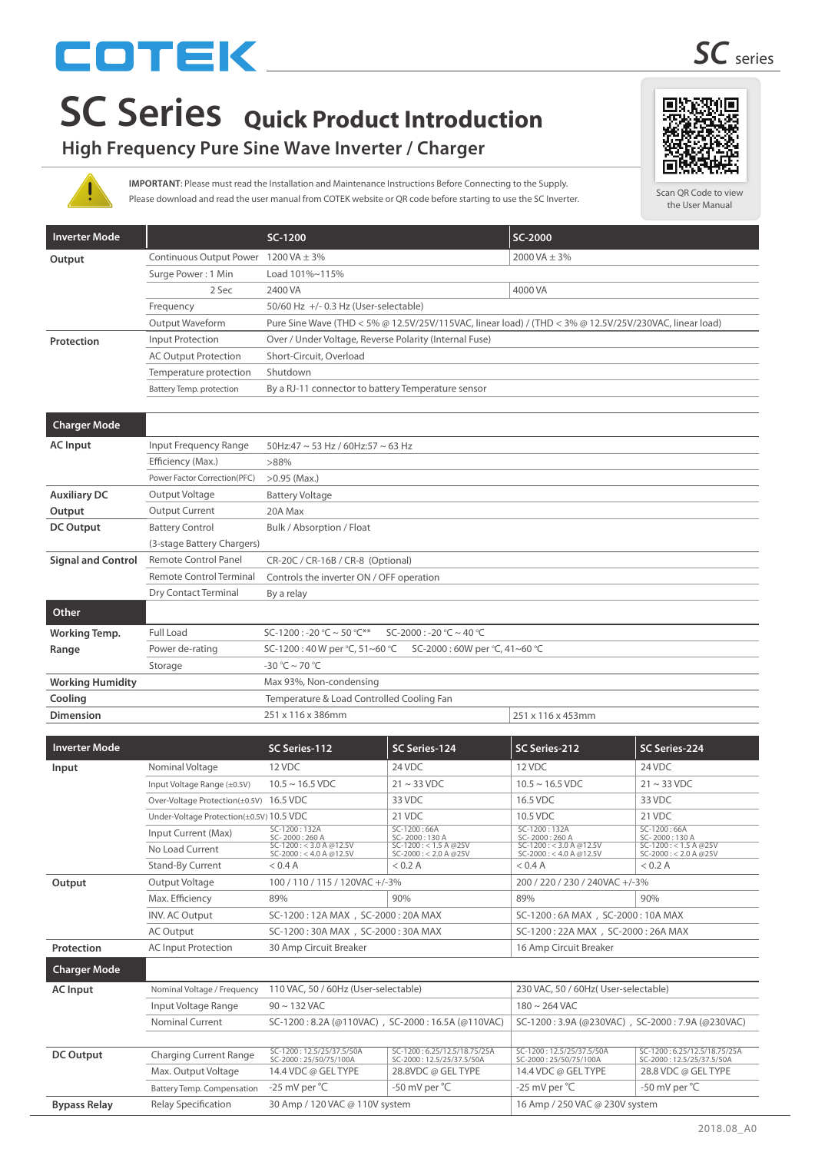# COTEK

### **High Frequency Pure Sine Wave Inverter / Charger**

Please download and read the user manual from COTEK website or QR code before starting to use the SC Inverter. **IMPORTANT**: Please must read the Installation and Maintenance Instructions Before Connecting to the Supply.

| <b>Inverter Mode</b>      |                                      | SC-1200                                                                                                |               | SC-2000           |               |  |
|---------------------------|--------------------------------------|--------------------------------------------------------------------------------------------------------|---------------|-------------------|---------------|--|
| Output                    | Continuous Output Power 1200 VA ± 3% |                                                                                                        |               | 2000 VA $\pm$ 3%  |               |  |
|                           | Surge Power: 1 Min                   | Load 101%~115%                                                                                         |               |                   |               |  |
|                           | 2 Sec                                | 2400 VA                                                                                                |               | 4000 VA           |               |  |
|                           | Frequency                            | 50/60 Hz +/- 0.3 Hz (User-selectable)                                                                  |               |                   |               |  |
|                           | Output Waveform                      | Pure Sine Wave (THD < 5% @ 12.5V/25V/115VAC, linear load) / (THD < 3% @ 12.5V/25V/230VAC, linear load) |               |                   |               |  |
| Protection                | <b>Input Protection</b>              | Over / Under Voltage, Reverse Polarity (Internal Fuse)                                                 |               |                   |               |  |
|                           | <b>AC Output Protection</b>          | Short-Circuit, Overload                                                                                |               |                   |               |  |
|                           | Temperature protection               | Shutdown                                                                                               |               |                   |               |  |
|                           | <b>Battery Temp. protection</b>      | By a RJ-11 connector to battery Temperature sensor                                                     |               |                   |               |  |
|                           |                                      |                                                                                                        |               |                   |               |  |
| <b>Charger Mode</b>       |                                      |                                                                                                        |               |                   |               |  |
| <b>AC</b> Input           | Input Frequency Range                | 50Hz:47 ~ 53 Hz / 60Hz:57 ~ 63 Hz                                                                      |               |                   |               |  |
|                           | Efficiency (Max.)                    | $>88\%$                                                                                                |               |                   |               |  |
|                           | Power Factor Correction(PFC)         | $>0.95$ (Max.)                                                                                         |               |                   |               |  |
| <b>Auxiliary DC</b>       | Output Voltage                       | <b>Battery Voltage</b>                                                                                 |               |                   |               |  |
| Output                    | <b>Output Current</b>                | 20A Max                                                                                                |               |                   |               |  |
| <b>DC Output</b>          | <b>Battery Control</b>               | Bulk / Absorption / Float                                                                              |               |                   |               |  |
|                           | (3-stage Battery Chargers)           |                                                                                                        |               |                   |               |  |
| <b>Signal and Control</b> | <b>Remote Control Panel</b>          | CR-20C / CR-16B / CR-8 (Optional)                                                                      |               |                   |               |  |
|                           | <b>Remote Control Terminal</b>       | Controls the inverter ON / OFF operation                                                               |               |                   |               |  |
|                           | Dry Contact Terminal                 | By a relay                                                                                             |               |                   |               |  |
| Other                     |                                      |                                                                                                        |               |                   |               |  |
| <b>Working Temp.</b>      | Full Load                            | SC-1200 : -20 °C ~ 50 °C**<br>$SC-2000: -20°C \sim 40°C$                                               |               |                   |               |  |
| Range                     | Power de-rating                      | SC-1200:40 W per °C, 51~60 °C<br>SC-2000:60W per °C, 41~60 °C                                          |               |                   |               |  |
|                           | Storage                              | $-30 °C \sim 70 °C$                                                                                    |               |                   |               |  |
| <b>Working Humidity</b>   |                                      | Max 93%, Non-condensing                                                                                |               |                   |               |  |
| Cooling                   |                                      | Temperature & Load Controlled Cooling Fan                                                              |               |                   |               |  |
| <b>Dimension</b>          |                                      | 251 x 116 x 386mm                                                                                      |               | 251 x 116 x 453mm |               |  |
|                           |                                      |                                                                                                        |               |                   |               |  |
| <b>Inverter Mode</b>      |                                      | SC Series-112                                                                                          | SC Series-124 | SC Series-212     | SC Series-224 |  |
| Innut                     | Nominal Voltage                      | 12 VDC                                                                                                 | 24 VDC        | 12 VDC            | 24 VDC        |  |

|                             | --------                                                   |                                                                                     | ----------                                                 |                                                      |
|-----------------------------|------------------------------------------------------------|-------------------------------------------------------------------------------------|------------------------------------------------------------|------------------------------------------------------|
| Nominal Voltage             | 12 VDC                                                     | 24 VDC                                                                              | 12 VDC                                                     | 24 VDC                                               |
| Input Voltage Range (±0.5V) | $10.5 \sim 16.5$ VDC                                       | $21 \sim 33$ VDC                                                                    | $10.5 \sim 16.5$ VDC                                       | $21 \sim 33 \text{ VDC}$                             |
|                             |                                                            | 33 VDC                                                                              | 16.5 VDC                                                   | 33 VDC                                               |
|                             |                                                            | 21 VDC                                                                              | 10.5 VDC                                                   | 21 VDC                                               |
| Input Current (Max)         | SC-1200:132A<br>SC-2000:260 A                              | SC-1200:66A<br>SC-2000:130 A                                                        | SC-1200:132A<br>SC-2000:260 A                              | SC-1200:66A<br>SC-2000:130 A                         |
| No Load Current             | $SC-1200 : < 3.0 A @ 12.5V$<br>$SC-2000 : < 4.0 A @ 12.5V$ | $SC-1200 : < 1.5 A @25V$<br>$SC-2000 : < 2.0 A @25V$                                | $SC-1200 : < 3.0 A @ 12.5V$<br>$SC-2000 : < 4.0 A @ 12.5V$ | $SC-1200 : < 1.5 A @25V$<br>$SC-2000 : < 2.0 A @25V$ |
| <b>Stand-By Current</b>     | $<$ 0.4 A                                                  | $<$ 0.2 A                                                                           | < 0.4 A                                                    | $<$ 0.2 A                                            |
| Output Voltage              | 100 / 110 / 115 / 120VAC +/-3%                             |                                                                                     | 200 / 220 / 230 / 240VAC +/-3%                             |                                                      |
| Max. Efficiency             | 89%                                                        | 90%                                                                                 | 89%                                                        | 90%                                                  |
| <b>INV. AC Output</b>       | SC-1200: 12A MAX, SC-2000: 20A MAX                         |                                                                                     | SC-1200:6A MAX, SC-2000:10A MAX                            |                                                      |
| AC Output                   | SC-1200: 30A MAX, SC-2000: 30A MAX                         |                                                                                     | SC-1200: 22A MAX, SC-2000: 26A MAX                         |                                                      |
| <b>AC Input Protection</b>  | 30 Amp Circuit Breaker                                     |                                                                                     | 16 Amp Circuit Breaker                                     |                                                      |
|                             |                                                            |                                                                                     |                                                            |                                                      |
| Nominal Voltage / Frequency | 110 VAC, 50 / 60Hz (User-selectable)                       |                                                                                     | 230 VAC, 50 / 60Hz( User-selectable)                       |                                                      |
| Input Voltage Range         | $90 \sim 132$ VAC                                          |                                                                                     | $180 \sim 264$ VAC                                         |                                                      |
| <b>Nominal Current</b>      |                                                            | SC-1200: 3.9A (@230VAC), SC-2000: 7.9A (@230VAC)                                    |                                                            |                                                      |
|                             |                                                            |                                                                                     |                                                            |                                                      |
|                             |                                                            | Over-Voltage Protection(±0.5V) 16.5 VDC<br>Under-Voltage Protection(±0.5V) 10.5 VDC | SC-1200: 8.2A (@110VAC), SC-2000: 16.5A (@110VAC)          |                                                      |

| DC Output           | <b>Charging Current Range</b> | SC-1200: 12.5/25/37.5/50A<br>SC-2000: 25/50/75/100A | SC-1200:6.25/12.5/18.75/25A<br>SC-2000: 12.5/25/37.5/50A | SC-1200:12.5/25/37.5/50A<br>SC-2000:25/50/75/100A | SC-1200:6.25/12.5/18.75/25A<br>SC-2000: 12.5/25/37.5/50A |  |
|---------------------|-------------------------------|-----------------------------------------------------|----------------------------------------------------------|---------------------------------------------------|----------------------------------------------------------|--|
|                     | Max. Output Voltage           | 14.4 VDC @ GEL TYPE                                 | 28.8VDC @ GEL TYPE                                       | 14.4 VDC @ GEL TYPE                               | 28.8 VDC @ GEL TYPE                                      |  |
|                     | Battery Temp. Compensation    | -25 mV per °C                                       | -50 mV per °C                                            | -25 mV per $^{\circ}$ C                           | -50 mV per °C                                            |  |
| <b>Bypass Relay</b> | Relay Specification           | 30 Amp / 120 VAC @ 110V system                      |                                                          | 16 Amp / 250 VAC @ 230V system                    |                                                          |  |

Scan QR Code to view the User Manual

国外欧洲国

tл